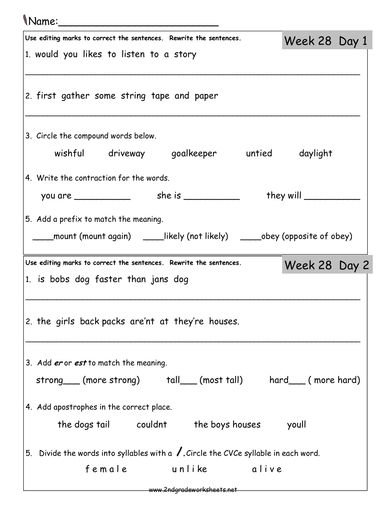## Name:\_\_\_\_\_\_\_\_\_\_\_\_\_\_\_\_\_\_\_\_\_\_\_\_\_

| Use editing marks to correct the sentences. Rewrite the sentences.                                                      | Week 28 Day 1 |  |
|-------------------------------------------------------------------------------------------------------------------------|---------------|--|
| 1. would you likes to listen to a story                                                                                 |               |  |
| 2. first gather some string tape and paper                                                                              |               |  |
| 3. Circle the compound words below.<br>wishful driveway goalkeeper untied daylight                                      |               |  |
|                                                                                                                         |               |  |
| 4. Write the contraction for the words.                                                                                 |               |  |
|                                                                                                                         |               |  |
| 5. Add a prefix to match the meaning.<br>____mount (mount again)  ____likely (not likely)  _____obey (opposite of obey) |               |  |
| Use editing marks to correct the sentences. Rewrite the sentences.<br>1. is bobs dog faster than jans dog               | Week 28 Day 2 |  |
| 2. the girls back packs are'nt at they're houses.                                                                       |               |  |
|                                                                                                                         |               |  |
| 3. Add er or est to match the meaning.                                                                                  |               |  |
| strong (more strong) tall (most tall) hard (more hard)                                                                  |               |  |
| 4. Add apostrophes in the correct place.                                                                                |               |  |
| the dogs tail couldnt the boys houses youll                                                                             |               |  |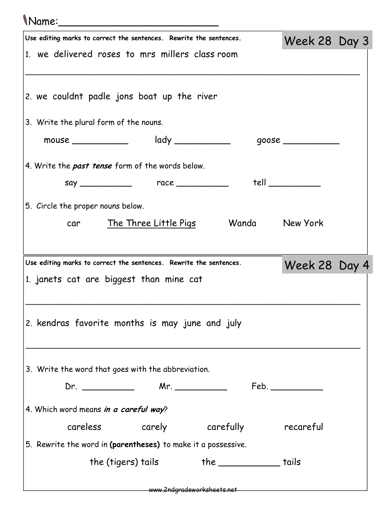## Name:\_\_\_\_\_\_\_\_\_\_\_\_\_\_\_\_\_\_\_\_\_\_\_\_\_

| Use editing marks to correct the sentences. Rewrite the sentences. |              |                                         |                                                                    |                | Week 28 Day 3 |  |
|--------------------------------------------------------------------|--------------|-----------------------------------------|--------------------------------------------------------------------|----------------|---------------|--|
| 1. we delivered roses to mrs millers class room                    |              |                                         |                                                                    |                |               |  |
|                                                                    |              |                                         |                                                                    |                |               |  |
| 2. we couldnt padle jons boat up the river                         |              |                                         |                                                                    |                |               |  |
| 3. Write the plural form of the nouns.                             |              |                                         |                                                                    |                |               |  |
|                                                                    | mouse $\_\_$ |                                         | $\mathsf{lady} \_\_\_\_\_\_\_\_\_\_\_\_\_\_\_\_\_\_\_\_\_\_\_\_\_$ |                |               |  |
| 4. Write the past tense form of the words below.                   |              |                                         |                                                                    |                |               |  |
|                                                                    |              |                                         |                                                                    |                | tell          |  |
| 5. Circle the proper nouns below.                                  |              |                                         |                                                                    |                |               |  |
|                                                                    |              | car The Three Little Pigs               |                                                                    | Wanda New York |               |  |
|                                                                    |              |                                         |                                                                    |                |               |  |
|                                                                    |              |                                         |                                                                    |                |               |  |
|                                                                    |              |                                         |                                                                    |                |               |  |
| Use editing marks to correct the sentences. Rewrite the sentences. |              |                                         |                                                                    |                | Week 28 Day 4 |  |
| 1. janets cat are biggest than mine cat                            |              |                                         |                                                                    |                |               |  |
|                                                                    |              |                                         |                                                                    |                |               |  |
| 2. kendras favorite months is may june and july                    |              |                                         |                                                                    |                |               |  |
|                                                                    |              |                                         |                                                                    |                |               |  |
|                                                                    |              |                                         |                                                                    |                |               |  |
| 3. Write the word that goes with the abbreviation.                 |              |                                         |                                                                    |                |               |  |
|                                                                    |              |                                         |                                                                    |                |               |  |
| 4. Which word means in a careful way?                              |              |                                         |                                                                    |                |               |  |
|                                                                    |              | careless carely carefully recareful     |                                                                    |                |               |  |
| 5. Rewrite the word in (parentheses) to make it a possessive.      |              |                                         |                                                                    |                |               |  |
|                                                                    |              | the (tigers) tails the __________ tails |                                                                    |                |               |  |

www.2ndgradeworksheets.net